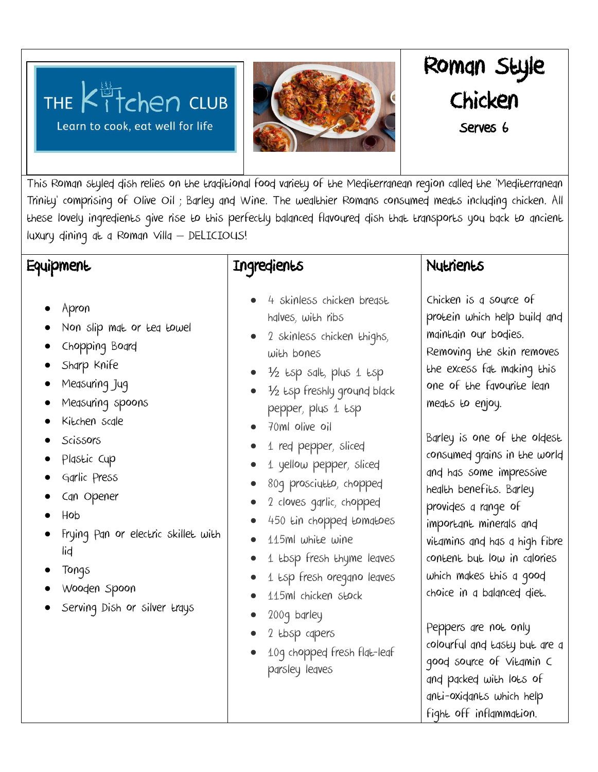THE Kitchen CLUB Learn to cook, eat well for life



# Roman Style Chicken Serves (

This Roman styled dish relies on the traditional food variety of the Mediterranean region called the 'Mediterranean Trinity' comprising of Olive Oil ; Barley and Wine. The wealthier Romans consumed meats including chicken. All these lovely ingredients give rise to this perfectly balanced flavoured dish that transports you back to ancient luxury dining at a Roman Villa – DELICIOUS!

## **Equipment**

- Apron
- Non slip mat or tea towel
- Chopping Board
- Sharp Knife
- Measuring Jug
- Measuring spoons
- Kitchen scale
- **Scissors**
- Plastic Cup
- Garlic Press
- Can Opener
- Hob
- Frying Pan or electric skillet with lid
- Tongs
- Wooden Spoon
- Serving Dish or silver trays

### Ingredients

- 4 skinless chicken breast halves, with ribs
- 2 skinless chicken thighs, with bones
- $\bullet$   $\frac{1}{2}$   $t$ sp salt, plus 1  $t$ sp
- <sup>1/2</sup> Esp freshly ground black pepper, plus 1 tsp
- 70ml olive oil
- 1 red pepper, sliced
- 1 yellow pepper, sliced
- 80g prosciutto, chopped
- 2 cloves garlic, chopped
- 450 tin chopped tomatoes
- 115ml white wine
- 1 tbsp fresh thyme leaves
- 1 tsp fresh oregano leaves
- 115ml chicken stock
- 200g barley
- 2 tbsp capers
- 10g chopped fresh flat-leaf parsley leaves

#### Nutrients

Chicken is a source of protein which help build and maintain our bodies. Removing the skin removes the excess fat making this one of the favourite lean meats to enjoy.

Barley is one of the oldest consumed grains in the world and has some impressive health benefits. Barley provides a range of important minerals and vitamins and has a high fibre content but low in calories which makes this a good choice in a balanced diet.

Peppers are not only colourful and tasty but are a good source of Vitamin C and packed with lots of anti-oxidants which help fight off inflammation.